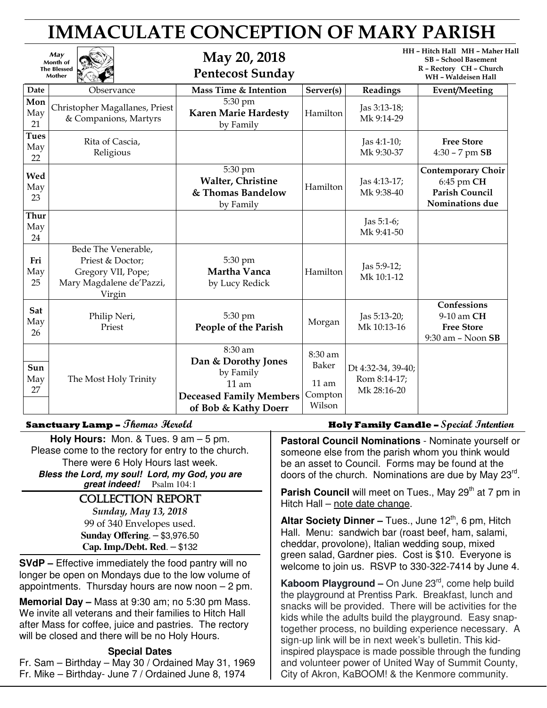# IMMACULATE CONCEPTION OF MARY PARISH

|                          | May<br>Month of<br><b>The Blessed</b><br>Mother                                                     | May 20, 2018<br><b>Pentecost Sunday</b>                                                                        |                                                  |                                                   | HH - Hitch Hall MH - Maher Hall<br><b>SB</b> - School Basement<br>R - Rectory CH - Church<br>WH - Waldeisen Hall |
|--------------------------|-----------------------------------------------------------------------------------------------------|----------------------------------------------------------------------------------------------------------------|--------------------------------------------------|---------------------------------------------------|------------------------------------------------------------------------------------------------------------------|
| Date                     | Observance                                                                                          | Mass Time & Intention                                                                                          | Server(s)                                        | Readings                                          | <b>Event/Meeting</b>                                                                                             |
| Mon<br>May<br>21         | Christopher Magallanes, Priest<br>& Companions, Martyrs                                             | 5:30 pm<br><b>Karen Marie Hardesty</b><br>by Family                                                            | Hamilton                                         | Jas $3:13-18$ ;<br>Mk 9:14-29                     |                                                                                                                  |
| <b>Tues</b><br>May<br>22 | Rita of Cascia,<br>Religious                                                                        |                                                                                                                |                                                  | Jas $4:1-10$ ;<br>Mk 9:30-37                      | <b>Free Store</b><br>$4:30 - 7$ pm SB                                                                            |
| Wed<br>May<br>23         |                                                                                                     | 5:30 pm<br><b>Walter, Christine</b><br>& Thomas Bandelow<br>by Family                                          | Hamilton                                         | Jas 4:13-17;<br>Mk 9:38-40                        | <b>Contemporary Choir</b><br>6:45 pm CH<br><b>Parish Council</b><br>Nominations due                              |
| <b>Thur</b><br>May<br>24 |                                                                                                     |                                                                                                                |                                                  | Jas $5:1-6$ ;<br>Mk 9:41-50                       |                                                                                                                  |
| Fri<br>May<br>25         | Bede The Venerable,<br>Priest & Doctor;<br>Gregory VII, Pope;<br>Mary Magdalene de'Pazzi,<br>Virgin | 5:30 pm<br>Martha Vanca<br>by Lucy Redick                                                                      | Hamilton                                         | Jas 5:9-12;<br>Mk 10:1-12                         |                                                                                                                  |
| Sat<br>May<br>26         | Philip Neri,<br>Priest                                                                              | 5:30 pm<br>People of the Parish                                                                                | Morgan                                           | Jas 5:13-20;<br>Mk 10:13-16                       | Confessions<br>9-10 am CH<br><b>Free Store</b><br>$9:30$ am $-$ Noon SB                                          |
| Sun<br>May<br>27         | The Most Holy Trinity                                                                               | 8:30 am<br>Dan & Dorothy Jones<br>by Family<br>11 am<br><b>Deceased Family Members</b><br>of Bob & Kathy Doerr | 8:30 am<br>Baker<br>$11$ am<br>Compton<br>Wilson | Dt 4:32-34, 39-40;<br>Rom 8:14-17;<br>Mk 28:16-20 |                                                                                                                  |

**Holy Hours:** Mon. & Tues. 9 am – 5 pm. Please come to the rectory for entry to the church. There were 6 Holy Hours last week. **Bless the Lord, my soul! Lord, my God, you are great indeed!** Psalm 104:1

> COLLECTION REPORT Sunday, May 13, 2018 99 of 340 Envelopes used. **Sunday Offering**. – \$3,976.50 **Cap. Imp./Debt. Red**. – \$132

**SVdP –** Effective immediately the food pantry will no longer be open on Mondays due to the low volume of appointments. Thursday hours are now noon – 2 pm.

**Memorial Day** – Mass at 9:30 am; no 5:30 pm Mass. We invite all veterans and their families to Hitch Hall after Mass for coffee, juice and pastries. The rectory will be closed and there will be no Holy Hours.

## **Special Dates**

Fr. Sam – Birthday – May 30 / Ordained May 31, 1969 Fr. Mike – Birthday- June 7 / Ordained June 8, 1974

### Sanctuary Lamp – *Thomas Herold* **Holy Family Candle –** Special Intention

**Pastoral Council Nominations** - Nominate yourself or someone else from the parish whom you think would be an asset to Council. Forms may be found at the doors of the church. Nominations are due by May 23<sup>rd</sup>.

**Parish Council** will meet on Tues., May 29<sup>th</sup> at 7 pm in Hitch Hall – note date change.

Altar Society Dinner - Tues., June 12<sup>th</sup>, 6 pm, Hitch Hall. Menu: sandwich bar (roast beef, ham, salami, cheddar, provolone), Italian wedding soup, mixed green salad, Gardner pies. Cost is \$10. Everyone is welcome to join us. RSVP to 330-322-7414 by June 4.

**Kaboom Playground –** On June 23<sup>rd</sup>, come help build the playground at Prentiss Park. Breakfast, lunch and snacks will be provided. There will be activities for the kids while the adults build the playground. Easy snaptogether process, no building experience necessary. A sign-up link will be in next week's bulletin. This kidinspired playspace is made possible through the funding and volunteer power of United Way of Summit County, City of Akron, KaBOOM! & the Kenmore community.